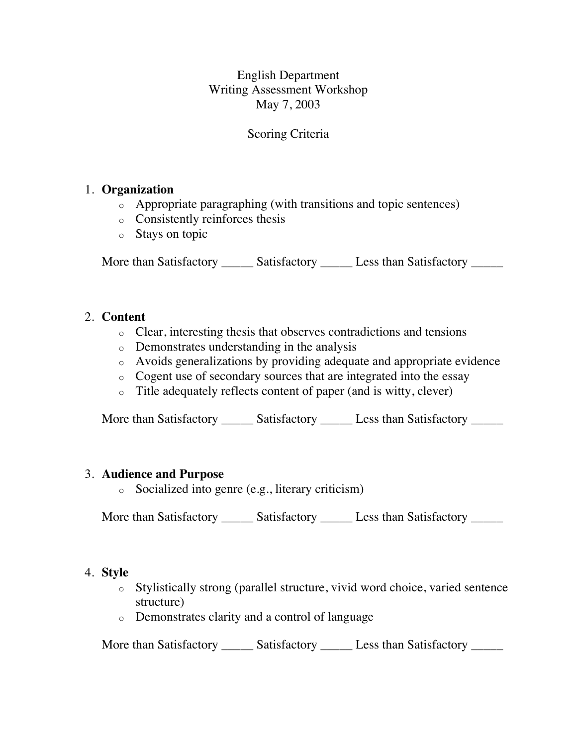English Department Writing Assessment Workshop May 7, 2003

# Scoring Criteria

## 1. **Organization**

- o Appropriate paragraphing (with transitions and topic sentences)
- o Consistently reinforces thesis
- o Stays on topic

More than Satisfactory \_\_\_\_\_\_ Satisfactory \_\_\_\_\_ Less than Satisfactory \_\_\_\_\_

### 2. **Content**

- o Clear, interesting thesis that observes contradictions and tensions
- o Demonstrates understanding in the analysis
- o Avoids generalizations by providing adequate and appropriate evidence
- o Cogent use of secondary sources that are integrated into the essay
- o Title adequately reflects content of paper (and is witty, clever)

More than Satisfactory \_\_\_\_\_\_ Satisfactory \_\_\_\_\_\_ Less than Satisfactory \_\_\_\_\_\_

#### 3. **Audience and Purpose**

o Socialized into genre (e.g., literary criticism)

More than Satisfactory \_\_\_\_\_\_ Satisfactory \_\_\_\_\_\_ Less than Satisfactory \_\_\_\_\_\_

#### 4. **Style**

- o Stylistically strong (parallel structure, vivid word choice, varied sentence structure)
- o Demonstrates clarity and a control of language

More than Satisfactory \_\_\_\_\_\_ Satisfactory \_\_\_\_\_ Less than Satisfactory \_\_\_\_\_